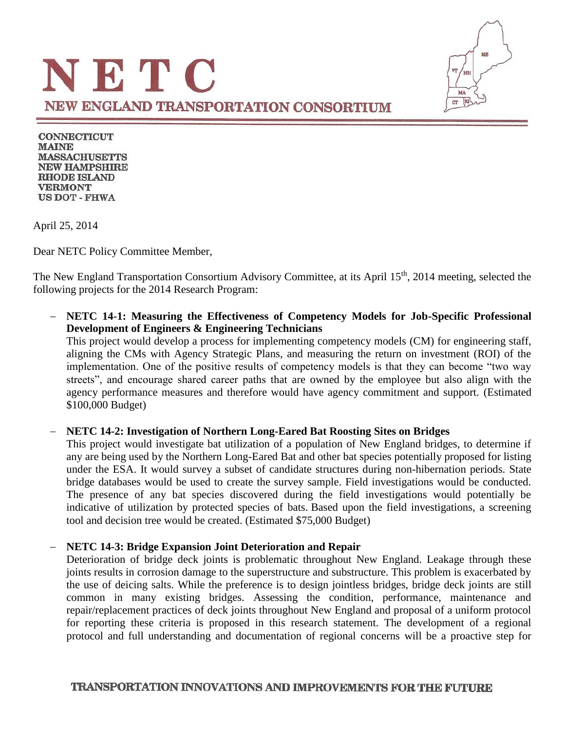

**CONNECTICUT MAINE MASSACHUSETTS NEW HAMPSHIRE RHODE ISLAND VERMONT US DOT - FHWA** 

April 25, 2014

Dear NETC Policy Committee Member,

The New England Transportation Consortium Advisory Committee, at its April 15<sup>th</sup>, 2014 meeting, selected the following projects for the 2014 Research Program:

 **NETC 14-1: Measuring the Effectiveness of Competency Models for Job-Specific Professional Development of Engineers & Engineering Technicians** This project would develop a process for implementing competency models (CM) for engineering staff,

aligning the CMs with Agency Strategic Plans, and measuring the return on investment (ROI) of the implementation. One of the positive results of competency models is that they can become "two way streets", and encourage shared career paths that are owned by the employee but also align with the agency performance measures and therefore would have agency commitment and support. (Estimated \$100,000 Budget)

#### **NETC 14-2: Investigation of Northern Long-Eared Bat Roosting Sites on Bridges**

This project would investigate bat utilization of a population of New England bridges, to determine if any are being used by the Northern Long-Eared Bat and other bat species potentially proposed for listing under the ESA. It would survey a subset of candidate structures during non-hibernation periods. State bridge databases would be used to create the survey sample. Field investigations would be conducted. The presence of any bat species discovered during the field investigations would potentially be indicative of utilization by protected species of bats. Based upon the field investigations, a screening tool and decision tree would be created. (Estimated \$75,000 Budget)

#### **NETC 14-3: Bridge Expansion Joint Deterioration and Repair**

Deterioration of bridge deck joints is problematic throughout New England. Leakage through these joints results in corrosion damage to the superstructure and substructure. This problem is exacerbated by the use of deicing salts. While the preference is to design jointless bridges, bridge deck joints are still common in many existing bridges. Assessing the condition, performance, maintenance and repair/replacement practices of deck joints throughout New England and proposal of a uniform protocol for reporting these criteria is proposed in this research statement. The development of a regional protocol and full understanding and documentation of regional concerns will be a proactive step for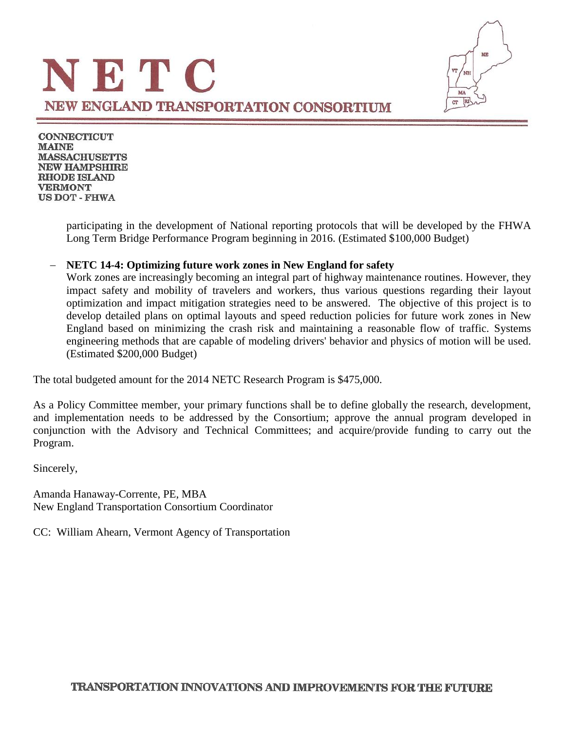

**CONNECTICUT MAINE MASSACHUSETTS NEW HAMPSHIRE RHODE ISLAND VERMONT US DOT - FHWA** 

> participating in the development of National reporting protocols that will be developed by the FHWA Long Term Bridge Performance Program beginning in 2016. (Estimated \$100,000 Budget)

### **NETC 14-4: Optimizing future work zones in New England for safety**

Work zones are increasingly becoming an integral part of highway maintenance routines. However, they impact safety and mobility of travelers and workers, thus various questions regarding their layout optimization and impact mitigation strategies need to be answered. The objective of this project is to develop detailed plans on optimal layouts and speed reduction policies for future work zones in New England based on minimizing the crash risk and maintaining a reasonable flow of traffic. Systems engineering methods that are capable of modeling drivers' behavior and physics of motion will be used. (Estimated \$200,000 Budget)

The total budgeted amount for the 2014 NETC Research Program is \$475,000.

As a Policy Committee member, your primary functions shall be to define globally the research, development, and implementation needs to be addressed by the Consortium; approve the annual program developed in conjunction with the Advisory and Technical Committees; and acquire/provide funding to carry out the Program.

Sincerely,

Amanda Hanaway-Corrente, PE, MBA New England Transportation Consortium Coordinator

CC: William Ahearn, Vermont Agency of Transportation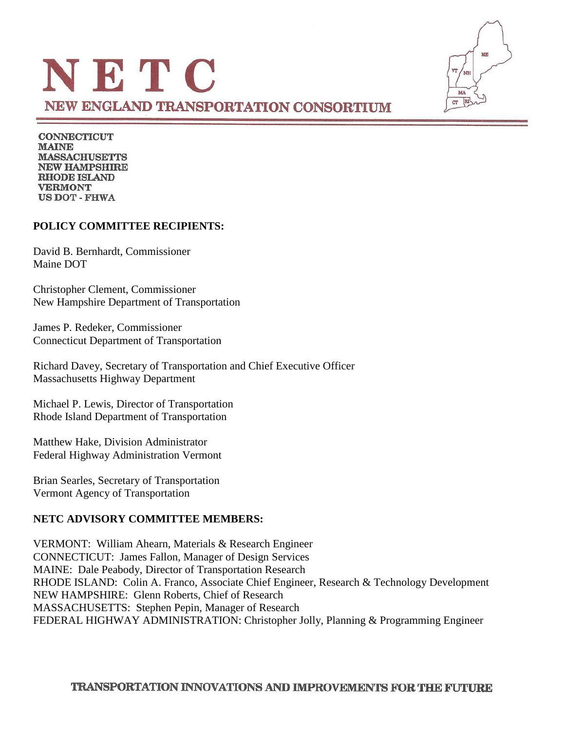

**CONNECTICUT MAINE MASSACHUSETTS NEW HAMPSHIRE RHODE ISLAND VERMONT US DOT - FHWA** 

## **POLICY COMMITTEE RECIPIENTS:**

David B. Bernhardt, Commissioner Maine DOT

Christopher Clement, Commissioner New Hampshire Department of Transportation

James P. Redeker, Commissioner Connecticut Department of Transportation

Richard Davey, Secretary of Transportation and Chief Executive Officer Massachusetts Highway Department

Michael P. Lewis, Director of Transportation Rhode Island Department of Transportation

Matthew Hake, Division Administrator Federal Highway Administration Vermont

Brian Searles, Secretary of Transportation Vermont Agency of Transportation

## **NETC ADVISORY COMMITTEE MEMBERS:**

VERMONT: William Ahearn, Materials & Research Engineer CONNECTICUT: James Fallon, Manager of Design Services MAINE: Dale Peabody, Director of Transportation Research RHODE ISLAND: Colin A. Franco, Associate Chief Engineer, Research & Technology Development NEW HAMPSHIRE: Glenn Roberts, Chief of Research MASSACHUSETTS: Stephen Pepin, Manager of Research FEDERAL HIGHWAY ADMINISTRATION: Christopher Jolly, Planning & Programming Engineer